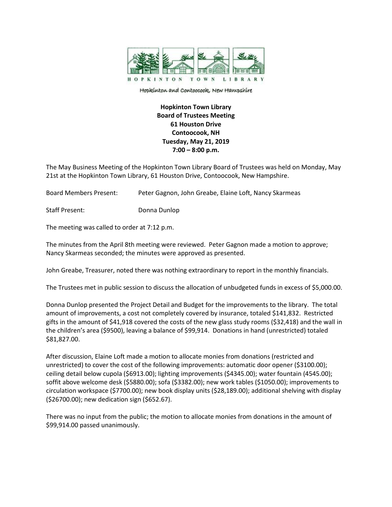

Hopkinton and Contoocook, New Hampshire

**Hopkinton Town Library Board of Trustees Meeting 61 Houston Drive Contoocook, NH Tuesday, May 21, 2019 7:00 – 8:00 p.m.**

The May Business Meeting of the Hopkinton Town Library Board of Trustees was held on Monday, May 21st at the Hopkinton Town Library, 61 Houston Drive, Contoocook, New Hampshire.

Board Members Present: Peter Gagnon, John Greabe, Elaine Loft, Nancy Skarmeas

Staff Present: Donna Dunlop

The meeting was called to order at 7:12 p.m.

The minutes from the April 8th meeting were reviewed. Peter Gagnon made a motion to approve; Nancy Skarmeas seconded; the minutes were approved as presented.

John Greabe, Treasurer, noted there was nothing extraordinary to report in the monthly financials.

The Trustees met in public session to discuss the allocation of unbudgeted funds in excess of \$5,000.00.

Donna Dunlop presented the Project Detail and Budget for the improvements to the library. The total amount of improvements, a cost not completely covered by insurance, totaled \$141,832. Restricted gifts in the amount of \$41,918 covered the costs of the new glass study rooms (\$32,418) and the wall in the children's area (\$9500), leaving a balance of \$99,914. Donations in hand (unrestricted) totaled \$81,827.00.

After discussion, Elaine Loft made a motion to allocate monies from donations (restricted and unrestricted) to cover the cost of the following improvements: automatic door opener (\$3100.00); ceiling detail below cupola (\$6913.00); lighting improvements (\$4345.00); water fountain (4545.00); soffit above welcome desk (\$5880.00); sofa (\$3382.00); new work tables (\$1050.00); improvements to circulation workspace (\$7700.00); new book display units (\$28,189.00); additional shelving with display (\$26700.00); new dedication sign (\$652.67).

There was no input from the public; the motion to allocate monies from donations in the amount of \$99,914.00 passed unanimously.